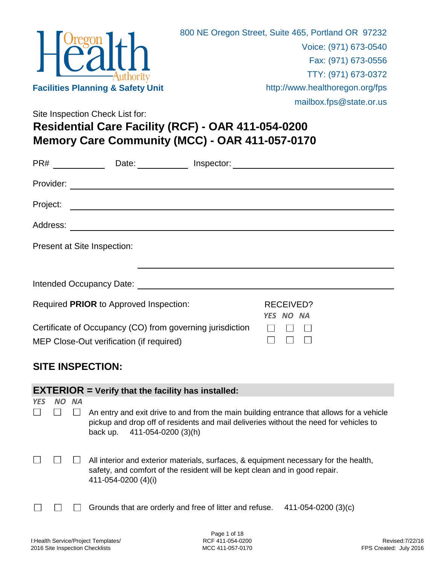

**Memory Care Community (MCC) - OAR 411-057-0170** Site Inspection Check List for: **Residential Care Facility (RCF) - OAR 411-054-0200**

|            |           |           |                                                           | PR# _______________Date: _______________ Inspector: ____________________________                                                                                                  |
|------------|-----------|-----------|-----------------------------------------------------------|-----------------------------------------------------------------------------------------------------------------------------------------------------------------------------------|
|            |           |           |                                                           |                                                                                                                                                                                   |
|            | Project:  |           | <u> 1980 - Johann Barnett, fransk politik (d. 1980)</u>   |                                                                                                                                                                                   |
|            |           |           |                                                           |                                                                                                                                                                                   |
|            |           |           | Present at Site Inspection:                               |                                                                                                                                                                                   |
|            |           |           |                                                           |                                                                                                                                                                                   |
|            |           |           |                                                           |                                                                                                                                                                                   |
|            |           |           | Required PRIOR to Approved Inspection:                    | <b>RECEIVED?</b>                                                                                                                                                                  |
|            |           |           | Certificate of Occupancy (CO) from governing jurisdiction | YES NO NA                                                                                                                                                                         |
|            |           |           | MEP Close-Out verification (if required)                  | $\Box$<br>$\vert \ \ \vert$                                                                                                                                                       |
|            |           |           |                                                           |                                                                                                                                                                                   |
|            |           |           | <b>SITE INSPECTION:</b>                                   |                                                                                                                                                                                   |
|            |           |           | $EXTERIOR = Verify that the facility has installed:$      |                                                                                                                                                                                   |
| <b>YES</b> | <b>NO</b> | <b>NA</b> |                                                           |                                                                                                                                                                                   |
|            |           |           | back up. 411-054-0200 (3)(h)                              | An entry and exit drive to and from the main building entrance that allows for a vehicle<br>pickup and drop off of residents and mail deliveries without the need for vehicles to |
|            |           |           |                                                           | All interior and exterior materials, surfaces, & equipment necessary for the health,                                                                                              |

411-054-0200 (4)(i)

safety, and comfort of the resident will be kept clean and in good repair.

Grounds that are orderly and free of litter and refuse. 411-054-0200 (3)(c)  $\Box$  $\Box$  $\perp$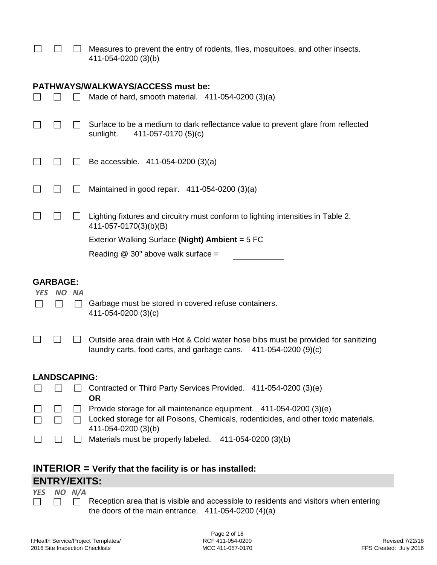|  | Measures to prevent the entry of rodents, flies, mosquitoes, and other insects. |
|--|---------------------------------------------------------------------------------|
|  | 411-054-0200 (3)(b)                                                             |

### **PATHWAYS/WALKWAYS/ACCESS must be:**

|                     | PATHWAYS/WALKWAYS/ACCESS MUST DE:                                                                                                                                                |
|---------------------|----------------------------------------------------------------------------------------------------------------------------------------------------------------------------------|
|                     | Made of hard, smooth material. 411-054-0200 (3)(a)                                                                                                                               |
|                     | Surface to be a medium to dark reflectance value to prevent glare from reflected<br>411-057-0170 (5)(c)<br>sunlight.                                                             |
|                     | Be accessible. 411-054-0200 (3)(a)                                                                                                                                               |
| $\sim$              | Maintained in good repair. 411-054-0200 (3)(a)                                                                                                                                   |
| $\sim$              | Lighting fixtures and circuitry must conform to lighting intensities in Table 2.<br>411-057-0170(3)(b)(B)                                                                        |
|                     | Exterior Walking Surface (Night) Ambient = 5 FC                                                                                                                                  |
|                     | Reading $@$ 30" above walk surface =                                                                                                                                             |
| <b>GARBAGE:</b>     |                                                                                                                                                                                  |
| YES NO NA           | Garbage must be stored in covered refuse containers.<br>411-054-0200 (3)(c)                                                                                                      |
|                     | Outside area drain with Hot & Cold water hose bibs must be provided for sanitizing<br>laundry carts, food carts, and garbage cans.<br>411-054-0200 (9)(c)                        |
|                     |                                                                                                                                                                                  |
| <b>LANDSCAPING:</b> |                                                                                                                                                                                  |
|                     | Contracted or Third Party Services Provided. 411-054-0200 (3)(e)<br><b>OR</b>                                                                                                    |
| $\Box$              | Provide storage for all maintenance equipment. 411-054-0200 (3)(e)<br>Locked storage for all Poisons, Chemicals, rodenticides, and other toxic materials.<br>411-054-0200 (3)(b) |

# **INTERIOR = Verify that the facility is or has installed:**

## **ENTRY/EXITS:**

*YES NO N/A*

 $\Box$ 

 $\Box$  Reception area that is visible and accessible to residents and visitors when entering  $\Box$ the doors of the main entrance. 411-054-0200 (4)(a)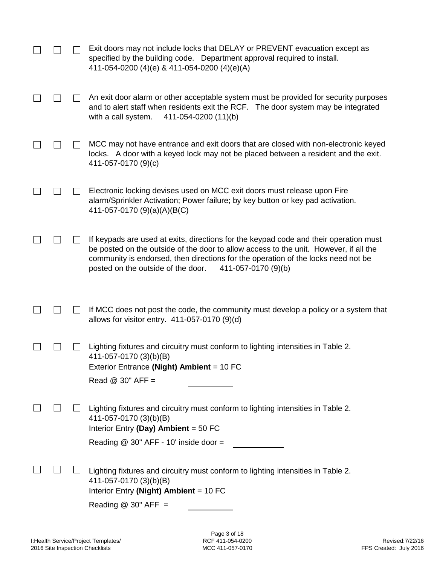|  | Exit doors may not include locks that DELAY or PREVENT evacuation except as<br>specified by the building code. Department approval required to install.<br>411-054-0200 (4)(e) & 411-054-0200 (4)(e)(A)                                                                                                                          |
|--|----------------------------------------------------------------------------------------------------------------------------------------------------------------------------------------------------------------------------------------------------------------------------------------------------------------------------------|
|  | An exit door alarm or other acceptable system must be provided for security purposes<br>and to alert staff when residents exit the RCF. The door system may be integrated<br>with a call system.<br>411-054-0200 (11)(b)                                                                                                         |
|  | MCC may not have entrance and exit doors that are closed with non-electronic keyed<br>locks. A door with a keyed lock may not be placed between a resident and the exit.<br>411-057-0170 (9)(c)                                                                                                                                  |
|  | Electronic locking devises used on MCC exit doors must release upon Fire<br>alarm/Sprinkler Activation; Power failure; by key button or key pad activation.<br>411-057-0170 (9)(a)(A)(B(C)                                                                                                                                       |
|  | If keypads are used at exits, directions for the keypad code and their operation must<br>be posted on the outside of the door to allow access to the unit. However, if all the<br>community is endorsed, then directions for the operation of the locks need not be<br>posted on the outside of the door.<br>411-057-0170 (9)(b) |
|  | If MCC does not post the code, the community must develop a policy or a system that<br>allows for visitor entry. 411-057-0170 (9)(d)                                                                                                                                                                                             |
|  | Lighting fixtures and circuitry must conform to lighting intensities in Table 2.<br>411-057-0170 (3)(b)(B)<br>Exterior Entrance (Night) Ambient = 10 FC<br>Read $@$ 30" AFF =                                                                                                                                                    |
|  | Lighting fixtures and circuitry must conform to lighting intensities in Table 2.<br>411-057-0170 (3)(b)(B)<br>Interior Entry (Day) Ambient = $50$ FC<br>Reading $@$ 30" AFF - 10' inside door =                                                                                                                                  |
|  | Lighting fixtures and circuitry must conform to lighting intensities in Table 2.<br>411-057-0170 (3)(b)(B)<br>Interior Entry (Night) Ambient = $10$ FC<br>Reading $@$ 30" AFF =                                                                                                                                                  |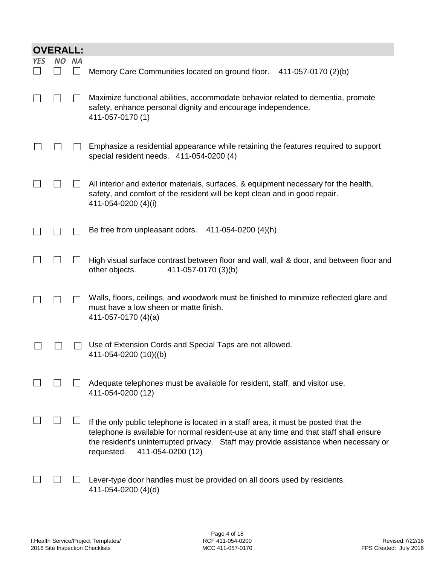|     | <b>OVERALL:</b> |           |                                                                                                                                                                                                                                                                                                          |
|-----|-----------------|-----------|----------------------------------------------------------------------------------------------------------------------------------------------------------------------------------------------------------------------------------------------------------------------------------------------------------|
| YES | NΟ              | <b>NA</b> | Memory Care Communities located on ground floor.<br>411-057-0170 (2)(b)                                                                                                                                                                                                                                  |
|     |                 |           | Maximize functional abilities, accommodate behavior related to dementia, promote<br>safety, enhance personal dignity and encourage independence.<br>411-057-0170 (1)                                                                                                                                     |
|     |                 |           | Emphasize a residential appearance while retaining the features required to support<br>special resident needs. 411-054-0200 (4)                                                                                                                                                                          |
|     |                 |           | All interior and exterior materials, surfaces, & equipment necessary for the health,<br>safety, and comfort of the resident will be kept clean and in good repair.<br>411-054-0200 (4)(i)                                                                                                                |
|     |                 |           | Be free from unpleasant odors.<br>411-054-0200 (4)(h)                                                                                                                                                                                                                                                    |
|     |                 |           | High visual surface contrast between floor and wall, wall & door, and between floor and<br>other objects.<br>411-057-0170 (3)(b)                                                                                                                                                                         |
|     |                 |           | Walls, floors, ceilings, and woodwork must be finished to minimize reflected glare and<br>must have a low sheen or matte finish.<br>411-057-0170 (4)(a)                                                                                                                                                  |
|     |                 |           | Use of Extension Cords and Special Taps are not allowed.<br>411-054-0200 (10)((b)                                                                                                                                                                                                                        |
|     |                 |           | Adequate telephones must be available for resident, staff, and visitor use.<br>411-054-0200 (12)                                                                                                                                                                                                         |
|     |                 |           | If the only public telephone is located in a staff area, it must be posted that the<br>telephone is available for normal resident-use at any time and that staff shall ensure<br>the resident's uninterrupted privacy. Staff may provide assistance when necessary or<br>411-054-0200 (12)<br>requested. |
|     |                 |           | Lever-type door handles must be provided on all doors used by residents.<br>411-054-0200 (4)(d)                                                                                                                                                                                                          |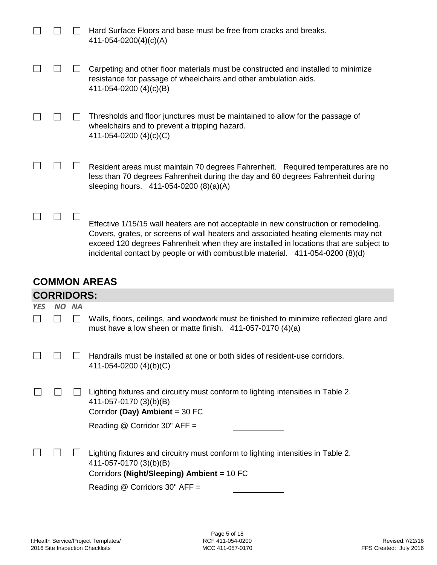|  | $\mathbf{A} \mathbf{D} \mathbf{F}$                                                                                                                                                                                                                                                                                                                     |
|--|--------------------------------------------------------------------------------------------------------------------------------------------------------------------------------------------------------------------------------------------------------------------------------------------------------------------------------------------------------|
|  | Effective 1/15/15 wall heaters are not acceptable in new construction or remodeling.<br>Covers, grates, or screens of wall heaters and associated heating elements may not<br>exceed 120 degrees Fahrenheit when they are installed in locations that are subject to<br>incidental contact by people or with combustible material. 411-054-0200 (8)(d) |
|  | Resident areas must maintain 70 degrees Fahrenheit. Required temperatures are no<br>less than 70 degrees Fahrenheit during the day and 60 degrees Fahrenheit during<br>sleeping hours. 411-054-0200 (8)(a)(A)                                                                                                                                          |
|  | Thresholds and floor junctures must be maintained to allow for the passage of<br>wheelchairs and to prevent a tripping hazard.<br>411-054-0200 $(4)(c)(C)$                                                                                                                                                                                             |
|  | Carpeting and other floor materials must be constructed and installed to minimize<br>resistance for passage of wheelchairs and other ambulation aids.<br>411-054-0200 (4)(c)(B)                                                                                                                                                                        |
|  | Hard Surface Floors and base must be free from cracks and breaks.<br>$411 - 054 - 0200(4)(c)(A)$                                                                                                                                                                                                                                                       |

#### **COMMON AREAS CORRIDORS:**

|            | <b>CORRIDORS:</b> |           |                                                                                                                                                            |  |  |  |  |  |  |
|------------|-------------------|-----------|------------------------------------------------------------------------------------------------------------------------------------------------------------|--|--|--|--|--|--|
| <b>YES</b> | <b>NO</b>         | <b>NA</b> |                                                                                                                                                            |  |  |  |  |  |  |
|            |                   |           | Walls, floors, ceilings, and woodwork must be finished to minimize reflected glare and<br>must have a low sheen or matte finish. $411-057-0170(4)(a)$      |  |  |  |  |  |  |
|            |                   |           | Handrails must be installed at one or both sides of resident-use corridors.<br>411-054-0200 $(4)(b)(C)$                                                    |  |  |  |  |  |  |
|            |                   |           | Lighting fixtures and circuitry must conform to lighting intensities in Table 2.<br>411-057-0170 (3)(b)(B)<br>Corridor (Day) Ambient = $30$ FC             |  |  |  |  |  |  |
|            |                   |           | Reading @ Corridor 30" AFF =                                                                                                                               |  |  |  |  |  |  |
|            |                   |           | Lighting fixtures and circuitry must conform to lighting intensities in Table 2.<br>411-057-0170 (3)(b)(B)<br>Corridors (Night/Sleeping) Ambient = $10$ FC |  |  |  |  |  |  |
|            |                   |           | Reading $@$ Corridors 30" AFF =                                                                                                                            |  |  |  |  |  |  |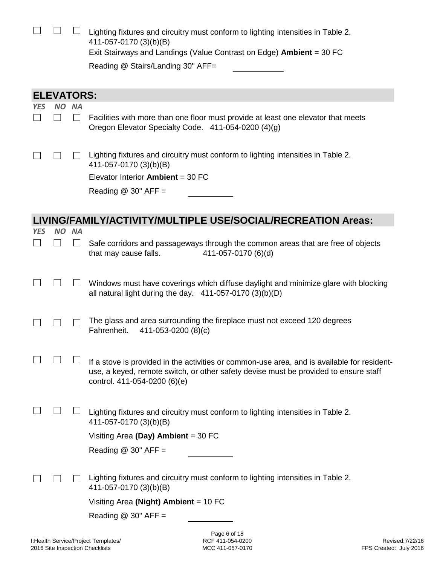|                          |                   |                | Lighting fixtures and circuitry must conform to lighting intensities in Table 2.<br>411-057-0170 (3)(b)(B)<br>Exit Stairways and Landings (Value Contrast on Edge) <b>Ambient</b> = 30 FC<br>Reading @ Stairs/Landing 30" AFF= |  |  |
|--------------------------|-------------------|----------------|--------------------------------------------------------------------------------------------------------------------------------------------------------------------------------------------------------------------------------|--|--|
|                          | <b>ELEVATORS:</b> |                |                                                                                                                                                                                                                                |  |  |
| <b>YES</b>               | NO.               | <b>NA</b>      |                                                                                                                                                                                                                                |  |  |
| $\overline{\phantom{a}}$ |                   | $\blacksquare$ | Facilities with more than one floor must provide at least one elevator that meets<br>Oregon Elevator Specialty Code. 411-054-0200 (4)(g)                                                                                       |  |  |
|                          |                   |                | Lighting fixtures and circuitry must conform to lighting intensities in Table 2.<br>411-057-0170 (3)(b)(B)                                                                                                                     |  |  |
|                          |                   |                | Elevator Interior Ambient = 30 FC                                                                                                                                                                                              |  |  |
|                          |                   |                | Reading $@$ 30" AFF =                                                                                                                                                                                                          |  |  |
|                          |                   |                |                                                                                                                                                                                                                                |  |  |
|                          |                   |                | LIVING/FAMILY/ACTIVITY/MULTIPLE USE/SOCIAL/RECREATION Areas:                                                                                                                                                                   |  |  |
| <b>YES</b>               | <b>NO</b>         | <b>NA</b>      |                                                                                                                                                                                                                                |  |  |
|                          |                   |                | Safe corridors and passageways through the common areas that are free of objects<br>that may cause falls.<br>411-057-0170 (6)(d)                                                                                               |  |  |
|                          |                   |                | Windows must have coverings which diffuse daylight and minimize glare with blocking<br>all natural light during the day. $411-057-0170(3)(b)(D)$                                                                               |  |  |
|                          |                   |                | The glass and area surrounding the fireplace must not exceed 120 degrees<br>Fahrenheit.<br>411-053-0200 (8)(c)                                                                                                                 |  |  |
|                          |                   |                |                                                                                                                                                                                                                                |  |  |
|                          |                   |                | If a stove is provided in the activities or common-use area, and is available for resident-<br>use, a keyed, remote switch, or other safety devise must be provided to ensure staff<br>control. 411-054-0200 (6)(e)            |  |  |
|                          |                   |                | Lighting fixtures and circuitry must conform to lighting intensities in Table 2.<br>411-057-0170 (3)(b)(B)                                                                                                                     |  |  |
|                          |                   |                | Visiting Area (Day) Ambient = $30$ FC                                                                                                                                                                                          |  |  |
|                          |                   |                | Reading $@$ 30" AFF =                                                                                                                                                                                                          |  |  |
|                          |                   |                |                                                                                                                                                                                                                                |  |  |
|                          |                   |                | Lighting fixtures and circuitry must conform to lighting intensities in Table 2.<br>411-057-0170 (3)(b)(B)                                                                                                                     |  |  |
|                          |                   |                | Visiting Area (Night) Ambient = $10$ FC                                                                                                                                                                                        |  |  |
|                          |                   |                | Reading $@30"$ AFF =                                                                                                                                                                                                           |  |  |
|                          |                   |                | Page 6 of 18                                                                                                                                                                                                                   |  |  |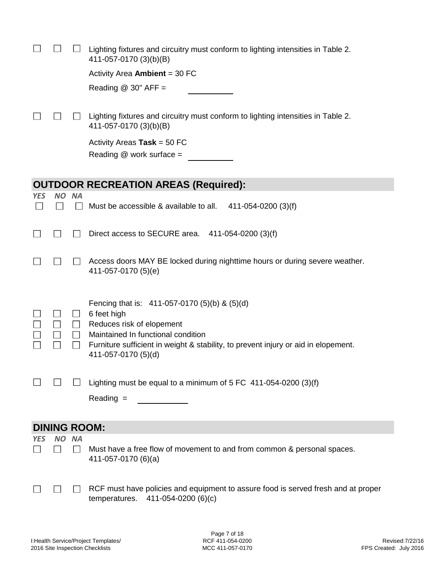|                   |              |             | Lighting fixtures and circuitry must conform to lighting intensities in Table 2.<br>411-057-0170 (3)(b)(B)                |
|-------------------|--------------|-------------|---------------------------------------------------------------------------------------------------------------------------|
|                   |              |             | Activity Area Ambient = $30$ FC                                                                                           |
|                   |              |             | Reading $@$ 30" AFF =                                                                                                     |
|                   |              |             |                                                                                                                           |
|                   |              |             | Lighting fixtures and circuitry must conform to lighting intensities in Table 2.<br>411-057-0170 (3)(b)(B)                |
|                   |              |             | Activity Areas Task = $50$ FC                                                                                             |
|                   |              |             | Reading $@$ work surface =                                                                                                |
|                   |              |             |                                                                                                                           |
|                   |              |             | <b>OUTDOOR RECREATION AREAS (Required):</b>                                                                               |
| <b>YES</b>        | <b>NO</b>    | <b>NA</b>   |                                                                                                                           |
| $\vert \ \ \vert$ | $\mathsf{L}$ |             | Must be accessible & available to all.<br>411-054-0200 (3)(f)                                                             |
|                   |              |             |                                                                                                                           |
|                   |              |             | Direct access to SECURE area. $411-054-0200$ (3)(f)                                                                       |
|                   |              |             |                                                                                                                           |
|                   |              |             | Access doors MAY BE locked during nighttime hours or during severe weather.<br>411-057-0170 (5)(e)                        |
|                   |              |             |                                                                                                                           |
|                   |              |             |                                                                                                                           |
|                   |              |             | Fencing that is: $411-057-0170$ (5)(b) & (5)(d)                                                                           |
|                   |              | ⊔<br>$\Box$ | 6 feet high<br>Reduces risk of elopement                                                                                  |
|                   |              | $\Box$      | Maintained In functional condition                                                                                        |
|                   |              |             | Furniture sufficient in weight & stability, to prevent injury or aid in elopement.                                        |
|                   |              |             | 411-057-0170 (5)(d)                                                                                                       |
|                   |              |             |                                                                                                                           |
|                   |              |             | Lighting must be equal to a minimum of $5$ FC 411-054-0200 (3)(f)                                                         |
|                   |              |             | $Reading =$                                                                                                               |
|                   |              |             |                                                                                                                           |
|                   |              |             | <b>DINING ROOM:</b>                                                                                                       |
| <b>YES</b>        | <b>NO</b>    | <b>NA</b>   |                                                                                                                           |
|                   |              | $\perp$     | Must have a free flow of movement to and from common & personal spaces.<br>411-057-0170 (6)(a)                            |
|                   |              |             |                                                                                                                           |
|                   |              |             |                                                                                                                           |
|                   |              |             | RCF must have policies and equipment to assure food is served fresh and at proper<br>411-054-0200 (6)(c)<br>temperatures. |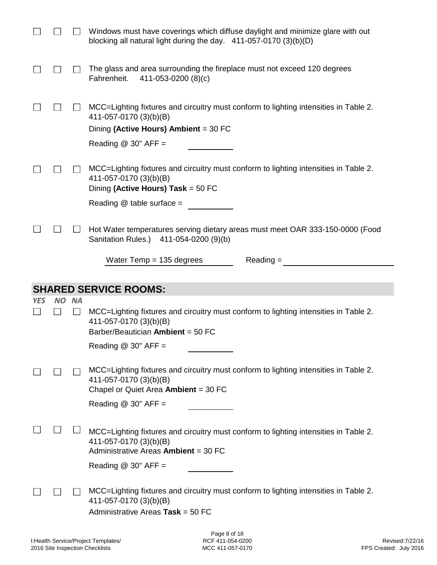|            |       | Windows must have coverings which diffuse daylight and minimize glare with out<br>blocking all natural light during the day. $411-057-0170(3)(b)(D)$                                |
|------------|-------|-------------------------------------------------------------------------------------------------------------------------------------------------------------------------------------|
|            |       | The glass and area surrounding the fireplace must not exceed 120 degrees<br>Fahrenheit.<br>411-053-0200 (8)(c)                                                                      |
|            |       | MCC=Lighting fixtures and circuitry must conform to lighting intensities in Table 2.<br>411-057-0170 (3)(b)(B)<br>Dining (Active Hours) Ambient = 30 FC<br>Reading $@$ 30" AFF =    |
|            |       | MCC=Lighting fixtures and circuitry must conform to lighting intensities in Table 2.<br>411-057-0170 (3)(b)(B)<br>Dining (Active Hours) Task = 50 FC<br>Reading $@$ table surface = |
|            |       | Hot Water temperatures serving dietary areas must meet OAR 333-150-0000 (Food<br>Sanitation Rules.) 411-054-0200 (9)(b)                                                             |
|            |       | Water Temp $= 135$ degrees<br>$Reading =$                                                                                                                                           |
|            |       |                                                                                                                                                                                     |
|            |       |                                                                                                                                                                                     |
| <b>YES</b> | NO NA | <b>SHARED SERVICE ROOMS:</b>                                                                                                                                                        |
|            |       | MCC=Lighting fixtures and circuitry must conform to lighting intensities in Table 2.<br>411-057-0170 (3)(b)(B)<br>Barber/Beautician Ambient = 50 FC                                 |
|            |       | Reading $@$ 30" AFF =                                                                                                                                                               |
|            |       | MCC=Lighting fixtures and circuitry must conform to lighting intensities in Table 2.<br>411-057-0170 (3)(b)(B)<br>Chapel or Quiet Area Ambient = 30 FC<br>Reading $@30"$ AFF =      |
|            |       | MCC=Lighting fixtures and circuitry must conform to lighting intensities in Table 2.<br>411-057-0170 (3)(b)(B)<br>Administrative Areas Ambient = 30 FC                              |
|            |       | Reading $@30"$ AFF =<br>MCC=Lighting fixtures and circuitry must conform to lighting intensities in Table 2.<br>411-057-0170 (3)(b)(B)<br>Administrative Areas Task = 50 FC         |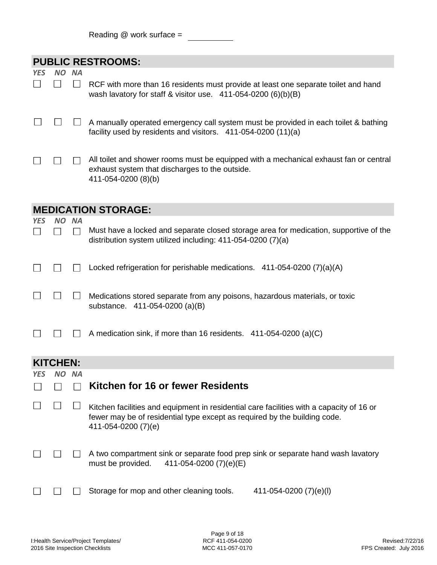|  |  |  | Reading $@$ work surface = |  |
|--|--|--|----------------------------|--|
|--|--|--|----------------------------|--|

|            |           |                | <b>PUBLIC RESTROOMS:</b>                                                                                                                                                                     |  |  |  |
|------------|-----------|----------------|----------------------------------------------------------------------------------------------------------------------------------------------------------------------------------------------|--|--|--|
| <b>YES</b> | <b>NO</b> | <b>NA</b>      |                                                                                                                                                                                              |  |  |  |
|            |           | $\blacksquare$ | RCF with more than 16 residents must provide at least one separate toilet and hand<br>wash lavatory for staff & visitor use. $411-054-0200$ (6)(b)(B)                                        |  |  |  |
|            |           |                | A manually operated emergency call system must be provided in each toilet & bathing<br>facility used by residents and visitors. 411-054-0200 (11)(a)                                         |  |  |  |
|            |           |                | All toilet and shower rooms must be equipped with a mechanical exhaust fan or central<br>exhaust system that discharges to the outside.<br>411-054-0200 (8)(b)                               |  |  |  |
|            |           |                | <b>MEDICATION STORAGE:</b>                                                                                                                                                                   |  |  |  |
| <b>YES</b> | NO.       | <b>NA</b>      |                                                                                                                                                                                              |  |  |  |
|            |           | $\mathbf{I}$   | Must have a locked and separate closed storage area for medication, supportive of the<br>distribution system utilized including: 411-054-0200 (7)(a)                                         |  |  |  |
|            |           |                | Locked refrigeration for perishable medications. 411-054-0200 (7)(a)(A)                                                                                                                      |  |  |  |
|            |           |                | Medications stored separate from any poisons, hazardous materials, or toxic<br>substance. 411-054-0200 (a)(B)                                                                                |  |  |  |
|            |           |                | A medication sink, if more than 16 residents. 411-054-0200 (a)(C)                                                                                                                            |  |  |  |
|            | KITCHEN:  |                |                                                                                                                                                                                              |  |  |  |
|            | ΝO        |                |                                                                                                                                                                                              |  |  |  |
|            |           |                | Kitchen for 16 or fewer Residents                                                                                                                                                            |  |  |  |
|            |           |                | Kitchen facilities and equipment in residential care facilities with a capacity of 16 or<br>fewer may be of residential type except as required by the building code.<br>411-054-0200 (7)(e) |  |  |  |
|            |           |                | A two compartment sink or separate food prep sink or separate hand wash lavatory<br>411-054-0200 (7)(e)(E)<br>must be provided.                                                              |  |  |  |
|            |           |                | Storage for mop and other cleaning tools.<br>411-054-0200 (7)(e)(l)                                                                                                                          |  |  |  |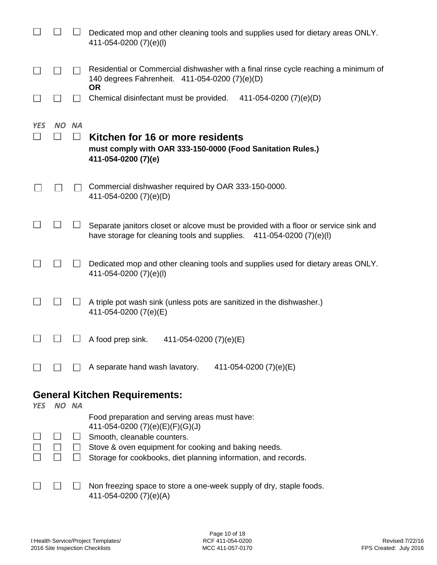|            |       |                            | Dedicated mop and other cleaning tools and supplies used for dietary areas ONLY.<br>411-054-0200 (7)(e)(l)                                                                                 |
|------------|-------|----------------------------|--------------------------------------------------------------------------------------------------------------------------------------------------------------------------------------------|
|            |       |                            | Residential or Commercial dishwasher with a final rinse cycle reaching a minimum of<br>140 degrees Fahrenheit. 411-054-0200 (7)(e)(D)<br>0R                                                |
|            |       |                            | Chemical disinfectant must be provided.<br>411-054-0200 (7)(e)(D)                                                                                                                          |
| <b>YES</b> | NO.   | <b>NA</b><br>$\mathcal{L}$ | Kitchen for 16 or more residents<br>must comply with OAR 333-150-0000 (Food Sanitation Rules.)<br>411-054-0200 (7)(e)                                                                      |
|            |       |                            | Commercial dishwasher required by OAR 333-150-0000.<br>411-054-0200 (7)(e)(D)                                                                                                              |
|            |       |                            | Separate janitors closet or alcove must be provided with a floor or service sink and<br>have storage for cleaning tools and supplies. 411-054-0200 (7)(e)(l)                               |
|            |       |                            | Dedicated mop and other cleaning tools and supplies used for dietary areas ONLY.<br>411-054-0200 (7)(e)(l)                                                                                 |
|            |       |                            | A triple pot wash sink (unless pots are sanitized in the dishwasher.)<br>411-054-0200 (7(e)(E)                                                                                             |
|            |       |                            | A food prep sink.<br>411-054-0200 (7)(e)(E)                                                                                                                                                |
|            |       |                            | A separate hand wash lavatory.<br>411-054-0200 (7)(e)(E)                                                                                                                                   |
|            |       |                            | <b>General Kitchen Requirements:</b>                                                                                                                                                       |
| <b>YES</b> | NO NA |                            | Food preparation and serving areas must have:                                                                                                                                              |
|            |       | $\Box$                     | 411-054-0200 $(7)(e)(E)(F)(G)(J)$<br>Smooth, cleanable counters.<br>Stove & oven equipment for cooking and baking needs.<br>Storage for cookbooks, diet planning information, and records. |
|            |       |                            | Non freezing space to store a one-week supply of dry, staple foods.                                                                                                                        |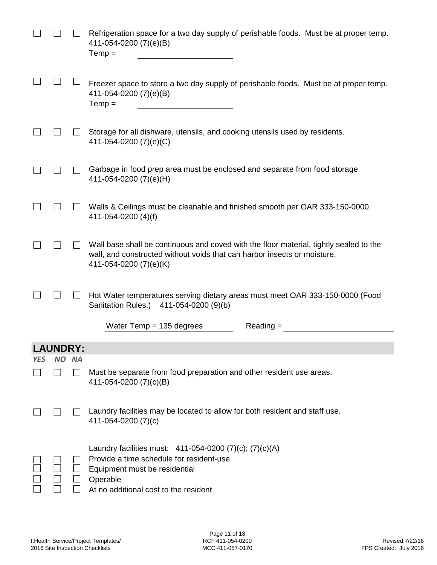|            |                 |           | Refrigeration space for a two day supply of perishable foods. Must be at proper temp.<br>411-054-0200 (7)(e)(B)<br>$Temp =$                                                                  |
|------------|-----------------|-----------|----------------------------------------------------------------------------------------------------------------------------------------------------------------------------------------------|
|            |                 |           | Freezer space to store a two day supply of perishable foods. Must be at proper temp.<br>411-054-0200 (7)(e)(B)<br>$Temp =$                                                                   |
|            |                 |           | Storage for all dishware, utensils, and cooking utensils used by residents.<br>411-054-0200 (7)(e)(C)                                                                                        |
|            |                 |           | Garbage in food prep area must be enclosed and separate from food storage.<br>411-054-0200 (7)(e)(H)                                                                                         |
|            |                 |           | Walls & Ceilings must be cleanable and finished smooth per OAR 333-150-0000.<br>411-054-0200 (4)(f)                                                                                          |
|            |                 |           | Wall base shall be continuous and coved with the floor material, tightly sealed to the<br>wall, and constructed without voids that can harbor insects or moisture.<br>411-054-0200 (7)(e)(K) |
|            |                 |           | Hot Water temperatures serving dietary areas must meet OAR 333-150-0000 (Food<br>Sanitation Rules.)<br>411-054-0200 (9)(b)                                                                   |
|            |                 |           | Water Temp $= 135$ degrees<br>$Reading =$                                                                                                                                                    |
|            | <b>LAUNDRY:</b> |           |                                                                                                                                                                                              |
| <b>YES</b> | NO.             | <b>NA</b> |                                                                                                                                                                                              |
|            |                 |           | Must be separate from food preparation and other resident use areas.<br>411-054-0200 (7)(c)(B)                                                                                               |
|            |                 |           | Laundry facilities may be located to allow for both resident and staff use.<br>411-054-0200 (7)(c)                                                                                           |
|            |                 |           | Laundry facilities must: 411-054-0200 (7)(c); (7)(c)(A)<br>Provide a time schedule for resident-use<br>Equipment must be residential<br>Operable<br>At no additional cost to the resident    |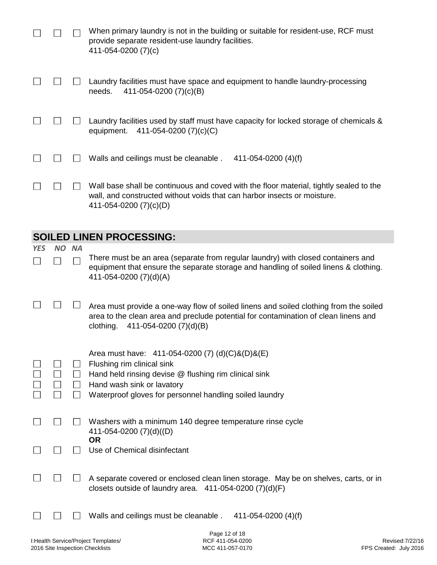|                                 |     |           | When primary laundry is not in the building or suitable for resident-use, RCF must<br>provide separate resident-use laundry facilities.<br>411-054-0200 (7)(c)                                                      |  |  |  |
|---------------------------------|-----|-----------|---------------------------------------------------------------------------------------------------------------------------------------------------------------------------------------------------------------------|--|--|--|
|                                 |     |           | Laundry facilities must have space and equipment to handle laundry-processing<br>411-054-0200 (7)(c)(B)<br>needs.                                                                                                   |  |  |  |
|                                 |     |           | Laundry facilities used by staff must have capacity for locked storage of chemicals &<br>411-054-0200 (7)(c)(C)<br>equipment.                                                                                       |  |  |  |
|                                 |     |           | Walls and ceilings must be cleanable.<br>411-054-0200 $(4)(f)$                                                                                                                                                      |  |  |  |
|                                 |     |           | Wall base shall be continuous and coved with the floor material, tightly sealed to the<br>wall, and constructed without voids that can harbor insects or moisture.<br>411-054-0200 (7)(c)(D)                        |  |  |  |
| <b>SOILED LINEN PROCESSING:</b> |     |           |                                                                                                                                                                                                                     |  |  |  |
|                                 |     |           |                                                                                                                                                                                                                     |  |  |  |
| <b>YES</b>                      | NO. | <b>NA</b> |                                                                                                                                                                                                                     |  |  |  |
|                                 |     |           | There must be an area (separate from regular laundry) with closed containers and<br>equipment that ensure the separate storage and handling of soiled linens & clothing.<br>411-054-0200 (7)(d)(A)                  |  |  |  |
|                                 |     |           | Area must provide a one-way flow of soiled linens and soiled clothing from the soiled<br>area to the clean area and preclude potential for contamination of clean linens and<br>411-054-0200 (7)(d)(B)<br>clothing. |  |  |  |
|                                 |     |           | Area must have: $411-054-0200$ (7) (d)(C)&(D)&(E)<br>Flushing rim clinical sink                                                                                                                                     |  |  |  |
|                                 |     |           | Hand held rinsing devise @ flushing rim clinical sink                                                                                                                                                               |  |  |  |
|                                 |     | $\Box$    | Hand wash sink or lavatory<br>Waterproof gloves for personnel handling soiled laundry                                                                                                                               |  |  |  |
|                                 |     |           | Washers with a minimum 140 degree temperature rinse cycle<br>411-054-0200 (7)(d)((D)                                                                                                                                |  |  |  |
|                                 |     |           | <b>OR</b><br>Use of Chemical disinfectant                                                                                                                                                                           |  |  |  |

 $\Box$  $\Box$ A separate covered or enclosed clean linen storage. May be on shelves, carts, or in closets outside of laundry area. 411-054-0200 (7)(d)(F)

 $\Box$  $\Box$ Walls and ceilings must be cleanable . 411-054-0200 (4)(f)

 $\Box$ 

 $\Box$ 

Page 12 of 18 RCF 411-054-0200 MCC 411-057-0170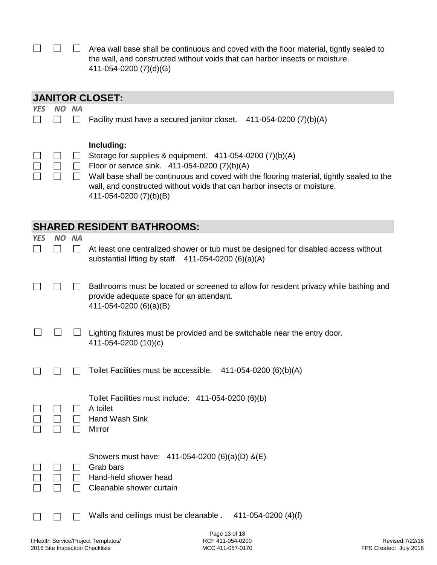|  | $\Box$ $\Box$ Area wall base shall be continuous and coved with the floor material, tightly sealed to |
|--|-------------------------------------------------------------------------------------------------------|
|  | the wall, and constructed without voids that can harbor insects or moisture.                          |
|  | 411-054-0200 (7)(d)(G)                                                                                |

|                                        | <b>JANITOR CLOSET:</b> |                      |                                                                                                                                                                                                                                                                                                                              |  |  |  |
|----------------------------------------|------------------------|----------------------|------------------------------------------------------------------------------------------------------------------------------------------------------------------------------------------------------------------------------------------------------------------------------------------------------------------------------|--|--|--|
| <b>YES</b>                             | <b>NO</b>              | <b>NA</b>            |                                                                                                                                                                                                                                                                                                                              |  |  |  |
|                                        |                        |                      | Facility must have a secured janitor closet.<br>411-054-0200 (7)(b)(A)                                                                                                                                                                                                                                                       |  |  |  |
|                                        |                        |                      | Including:<br>Storage for supplies & equipment. $411-054-0200$ (7)(b)(A)<br>Floor or service sink. 411-054-0200 (7)(b)(A)<br>Wall base shall be continuous and coved with the flooring material, tightly sealed to the<br>wall, and constructed without voids that can harbor insects or moisture.<br>411-054-0200 (7)(b)(B) |  |  |  |
|                                        |                        |                      | <b>SHARED RESIDENT BATHROOMS:</b>                                                                                                                                                                                                                                                                                            |  |  |  |
| <b>YES</b><br>$\overline{\phantom{a}}$ | <b>NO</b>              | <b>NA</b><br>$\perp$ | At least one centralized shower or tub must be designed for disabled access without<br>substantial lifting by staff. $411-054-0200$ (6)(a)(A)                                                                                                                                                                                |  |  |  |
|                                        |                        |                      | Bathrooms must be located or screened to allow for resident privacy while bathing and<br>provide adequate space for an attendant.<br>411-054-0200 (6)(a)(B)                                                                                                                                                                  |  |  |  |
|                                        |                        |                      | Lighting fixtures must be provided and be switchable near the entry door.<br>411-054-0200 (10)(c)                                                                                                                                                                                                                            |  |  |  |
|                                        |                        |                      | Toilet Facilities must be accessible. 411-054-0200 (6)(b)(A)                                                                                                                                                                                                                                                                 |  |  |  |
|                                        |                        |                      | Toilet Facilities must include: 411-054-0200 (6)(b)<br>A toilet<br>Hand Wash Sink<br>Mirror                                                                                                                                                                                                                                  |  |  |  |
|                                        |                        |                      | Showers must have: 411-054-0200 (6)(a)(D) &(E)<br>Grab bars<br>Hand-held shower head<br>Cleanable shower curtain                                                                                                                                                                                                             |  |  |  |
|                                        |                        |                      | Walls and ceilings must be cleanable.<br>411-054-0200 (4)(f)                                                                                                                                                                                                                                                                 |  |  |  |

Page 13 of 18 RCF 411-054-0200 MCC 411-057-0170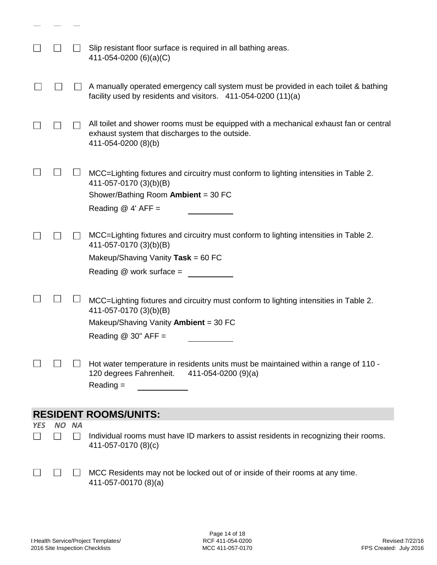|            |       | Slip resistant floor surface is required in all bathing areas.<br>411-054-0200 (6)(a)(C)                                                                                           |
|------------|-------|------------------------------------------------------------------------------------------------------------------------------------------------------------------------------------|
|            |       | A manually operated emergency call system must be provided in each toilet & bathing<br>facility used by residents and visitors. 411-054-0200 (11)(a)                               |
|            |       | All toilet and shower rooms must be equipped with a mechanical exhaust fan or central<br>exhaust system that discharges to the outside.<br>411-054-0200 (8)(b)                     |
|            |       | MCC=Lighting fixtures and circuitry must conform to lighting intensities in Table 2.<br>411-057-0170 (3)(b)(B)<br>Shower/Bathing Room Ambient = 30 FC<br>Reading $@$ 4' AFF =      |
|            |       | MCC=Lighting fixtures and circuitry must conform to lighting intensities in Table 2.<br>411-057-0170 (3)(b)(B)<br>Makeup/Shaving Vanity Task = $60$ FC<br>Reading @ work surface = |
|            |       | MCC=Lighting fixtures and circuitry must conform to lighting intensities in Table 2.<br>411-057-0170 (3)(b)(B)<br>Makeup/Shaving Vanity Ambient = 30 FC<br>Reading $@30"$ AFF =    |
|            |       | Hot water temperature in residents units must be maintained within a range of 110 -<br>120 degrees Fahrenheit. 411-054-0200 (9)(a)<br>$Reading =$                                  |
|            |       | <b>RESIDENT ROOMS/UNITS:</b>                                                                                                                                                       |
| <b>YES</b> | NO NA |                                                                                                                                                                                    |
|            |       | Individual rooms must have ID markers to assist residents in recognizing their rooms.<br>411-057-0170 (8)(c)                                                                       |
|            |       | MCC Residents may not be locked out of or inside of their rooms at any time.<br>411-057-00170 (8)(a)                                                                               |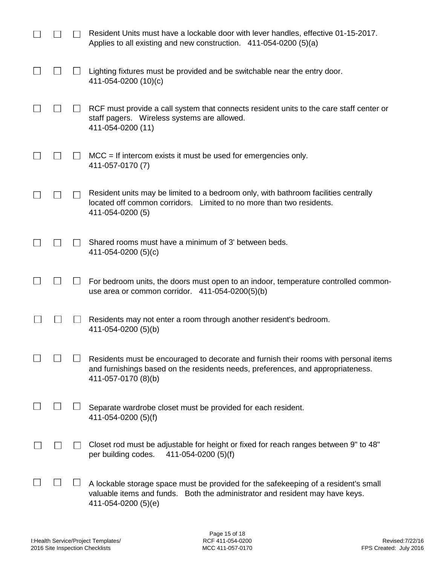|  | Resident Units must have a lockable door with lever handles, effective 01-15-2017.<br>Applies to all existing and new construction. $411-054-0200(5)(a)$                                       |
|--|------------------------------------------------------------------------------------------------------------------------------------------------------------------------------------------------|
|  | Lighting fixtures must be provided and be switchable near the entry door.<br>411-054-0200 (10)(c)                                                                                              |
|  | RCF must provide a call system that connects resident units to the care staff center or<br>staff pagers. Wireless systems are allowed.<br>411-054-0200 (11)                                    |
|  | $MCC = If$ intercom exists it must be used for emergencies only.<br>411-057-0170 (7)                                                                                                           |
|  | Resident units may be limited to a bedroom only, with bathroom facilities centrally<br>located off common corridors. Limited to no more than two residents.<br>411-054-0200 (5)                |
|  | Shared rooms must have a minimum of 3' between beds.<br>411-054-0200 (5)(c)                                                                                                                    |
|  | For bedroom units, the doors must open to an indoor, temperature controlled common-<br>use area or common corridor. $411-054-0200(5)(b)$                                                       |
|  | Residents may not enter a room through another resident's bedroom.<br>411-054-0200 (5)(b)                                                                                                      |
|  | Residents must be encouraged to decorate and furnish their rooms with personal items<br>and furnishings based on the residents needs, preferences, and appropriateness.<br>411-057-0170 (8)(b) |
|  | Separate wardrobe closet must be provided for each resident.<br>411-054-0200 (5)(f)                                                                                                            |
|  | Closet rod must be adjustable for height or fixed for reach ranges between 9" to 48"<br>per building codes.<br>411-054-0200 (5)(f)                                                             |
|  | A lockable storage space must be provided for the safekeeping of a resident's small<br>valuable items and funds. Both the administrator and resident may have keys.<br>411-054-0200 (5)(e)     |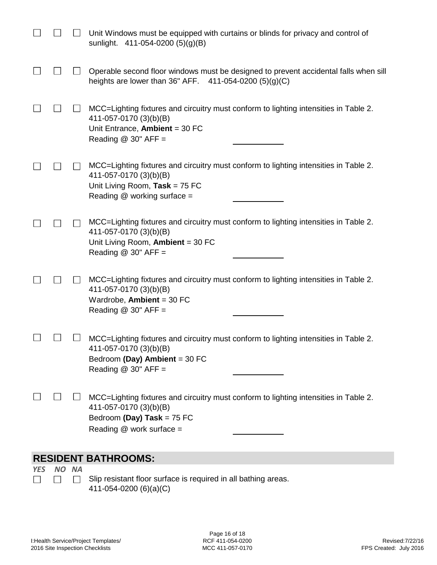|                     |  | Unit Windows must be equipped with curtains or blinds for privacy and control of<br>sunlight. 411-054-0200 (5)(g)(B)                                                              |  |  |  |
|---------------------|--|-----------------------------------------------------------------------------------------------------------------------------------------------------------------------------------|--|--|--|
|                     |  | Operable second floor windows must be designed to prevent accidental falls when sill<br>heights are lower than 36" AFF. $411-054-0200$ (5)(g)(C)                                  |  |  |  |
| $\sim$              |  | MCC=Lighting fixtures and circuitry must conform to lighting intensities in Table 2.<br>411-057-0170 (3)(b)(B)<br>Unit Entrance, Ambient = $30$ FC<br>Reading $@$ 30" AFF =       |  |  |  |
|                     |  | MCC=Lighting fixtures and circuitry must conform to lighting intensities in Table 2.<br>411-057-0170 (3)(b)(B)<br>Unit Living Room, Task = $75$ FC<br>Reading @ working surface = |  |  |  |
|                     |  | MCC=Lighting fixtures and circuitry must conform to lighting intensities in Table 2.<br>411-057-0170 (3)(b)(B)<br>Unit Living Room, Ambient = 30 FC<br>Reading $@$ 30" AFF =      |  |  |  |
|                     |  | MCC=Lighting fixtures and circuitry must conform to lighting intensities in Table 2.<br>411-057-0170 (3)(b)(B)<br>Wardrobe, Ambient = $30$ FC<br>Reading $@$ 30" AFF =            |  |  |  |
|                     |  | MCC=Lighting fixtures and circuitry must conform to lighting intensities in Table 2.<br>411-057-0170 (3)(b)(B)<br>Bedroom (Day) Ambient = 30 FC<br>Reading $@$ 30" AFF =          |  |  |  |
|                     |  | MCC=Lighting fixtures and circuitry must conform to lighting intensities in Table 2.<br>411-057-0170 (3)(b)(B)<br>Bedroom (Day) Task = 75 FC<br>Reading @ work surface =          |  |  |  |
| DECINENT DATUDOOMS. |  |                                                                                                                                                                                   |  |  |  |

### **RESIDENT BATHROOMS:**

*YES NO NA*  $\Box$  $\Box$  $\Box$ 

Slip resistant floor surface is required in all bathing areas. 411-054-0200 (6)(a)(C)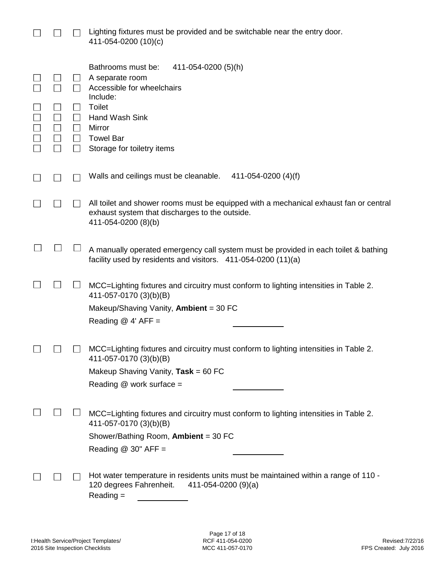|  |                                         | Lighting fixtures must be provided and be switchable near the entry door.<br>411-054-0200 (10)(c)                                                                                                            |
|--|-----------------------------------------|--------------------------------------------------------------------------------------------------------------------------------------------------------------------------------------------------------------|
|  | $\perp$<br>$\perp$<br>$\perp$<br>$\Box$ | Bathrooms must be:<br>411-054-0200 (5)(h)<br>A separate room<br>Accessible for wheelchairs<br>Include:<br><b>Toilet</b><br>Hand Wash Sink<br><b>Mirror</b><br><b>Towel Bar</b><br>Storage for toiletry items |
|  |                                         | Walls and ceilings must be cleanable.<br>411-054-0200 (4)(f)                                                                                                                                                 |
|  |                                         | All toilet and shower rooms must be equipped with a mechanical exhaust fan or central<br>exhaust system that discharges to the outside.<br>411-054-0200 (8)(b)                                               |
|  |                                         | A manually operated emergency call system must be provided in each toilet & bathing<br>facility used by residents and visitors. 411-054-0200 (11)(a)                                                         |
|  |                                         | MCC=Lighting fixtures and circuitry must conform to lighting intensities in Table 2.<br>411-057-0170 (3)(b)(B)<br>Makeup/Shaving Vanity, Ambient = 30 FC<br>Reading $@$ 4' AFF =                             |
|  |                                         | MCC=Lighting fixtures and circuitry must conform to lighting intensities in Table 2.<br>411-057-0170 (3)(b)(B)<br>Makeup Shaving Vanity, Task = 60 FC<br>Reading @ work surface =                            |
|  |                                         | MCC=Lighting fixtures and circuitry must conform to lighting intensities in Table 2.<br>411-057-0170 (3)(b)(B)<br>Shower/Bathing Room, Ambient = 30 FC<br>Reading $@$ 30" AFF =                              |
|  |                                         | Hot water temperature in residents units must be maintained within a range of 110 -<br>120 degrees Fahrenheit.<br>$411 - 054 - 0200(9)(a)$<br>$Reading =$                                                    |